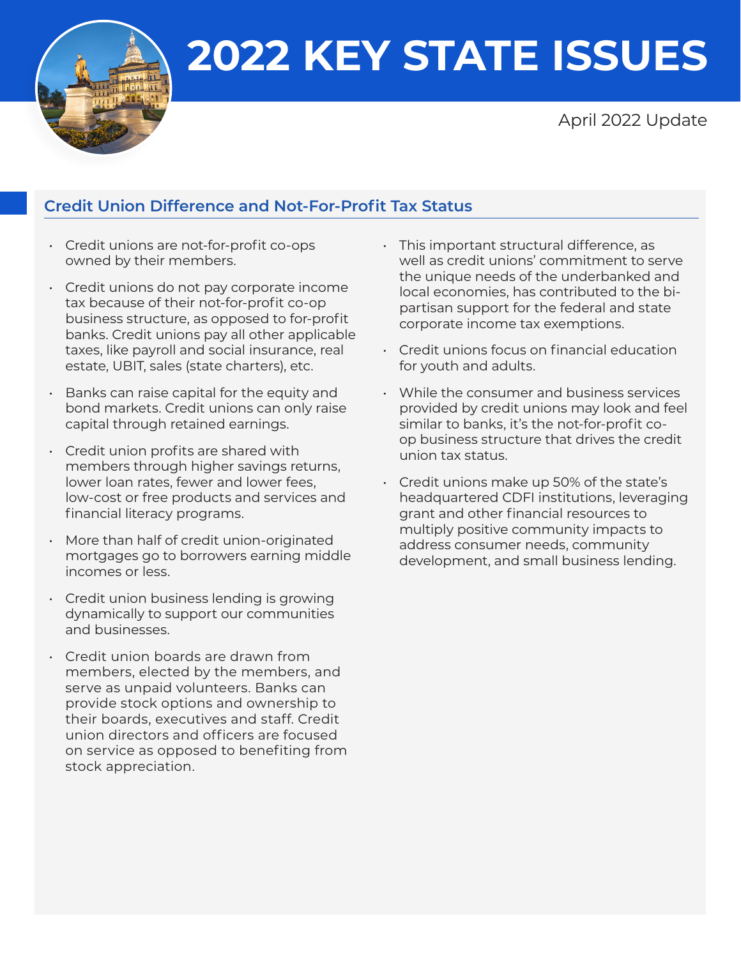**2022 KEY STATE ISSUES**



# April 2022 Update

# **Credit Union Difference and Not-For-Profit Tax Status**

- Credit unions are not-for-profit co-ops owned by their members.
- Credit unions do not pay corporate income tax because of their not-for-profit co-op business structure, as opposed to for-profit banks. Credit unions pay all other applicable taxes, like payroll and social insurance, real estate, UBIT, sales (state charters), etc.
- Banks can raise capital for the equity and bond markets. Credit unions can only raise capital through retained earnings.
- Credit union profits are shared with members through higher savings returns, lower loan rates, fewer and lower fees, low-cost or free products and services and financial literacy programs.
- More than half of credit union-originated mortgages go to borrowers earning middle incomes or less.
- Credit union business lending is growing dynamically to support our communities and businesses.
- Credit union boards are drawn from members, elected by the members, and serve as unpaid volunteers. Banks can provide stock options and ownership to their boards, executives and staff. Credit union directors and officers are focused on service as opposed to benefiting from stock appreciation.
- This important structural difference, as well as credit unions' commitment to serve the unique needs of the underbanked and local economies, has contributed to the bipartisan support for the federal and state corporate income tax exemptions.
- Credit unions focus on financial education for youth and adults.
- While the consumer and business services provided by credit unions may look and feel similar to banks, it's the not-for-profit coop business structure that drives the credit union tax status.
- Credit unions make up 50% of the state's headquartered CDFI institutions, leveraging grant and other financial resources to multiply positive community impacts to address consumer needs, community development, and small business lending.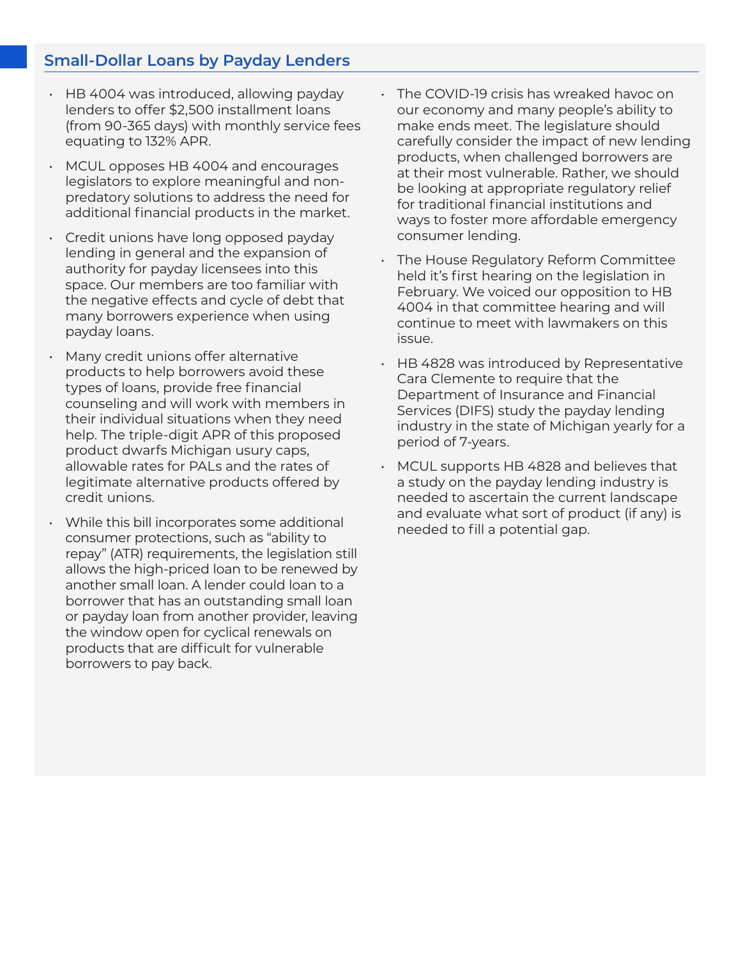# **Small-Dollar Loans by Payday Lenders**

- HB 4004 was introduced, allowing payday lenders to offer \$2,500 installment loans (from 90-365 days) with monthly service fees equating to 132% APR.
- MCUL opposes HB 4004 and encourages legislators to explore meaningful and nonpredatory solutions to address the need for additional financial products in the market.
- Credit unions have long opposed payday lending in general and the expansion of authority for payday licensees into this space. Our members are too familiar with the negative effects and cycle of debt that many borrowers experience when using payday loans.
- Many credit unions offer alternative products to help borrowers avoid these types of loans, provide free financial counseling and will work with members in their individual situations when they need help. The triple-digit APR of this proposed product dwarfs Michigan usury caps, allowable rates for PALs and the rates of legitimate alternative products offered by credit unions.
- While this bill incorporates some additional consumer protections, such as "ability to repay" (ATR) requirements, the legislation still allows the high-priced loan to be renewed by another small loan. A lender could loan to a borrower that has an outstanding small loan or payday loan from another provider, leaving the window open for cyclical renewals on products that are difficult for vulnerable borrowers to pay back.
- The COVID-19 crisis has wreaked havoc on our economy and many people's ability to make ends meet. The legislature should carefully consider the impact of new lending products, when challenged borrowers are at their most vulnerable. Rather, we should be looking at appropriate regulatory relief for traditional financial institutions and ways to foster more affordable emergency consumer lending.
- The House Regulatory Reform Committee held it's first hearing on the legislation in February. We voiced our opposition to HB 4004 in that committee hearing and will continue to meet with lawmakers on this issue.
- HB 4828 was introduced by Representative Cara Clemente to require that the Department of Insurance and Financial Services (DIFS) study the payday lending industry in the state of Michigan yearly for a period of 7-years.
- MCUL supports HB 4828 and believes that a study on the payday lending industry is needed to ascertain the current landscape and evaluate what sort of product (if any) is needed to fill a potential gap.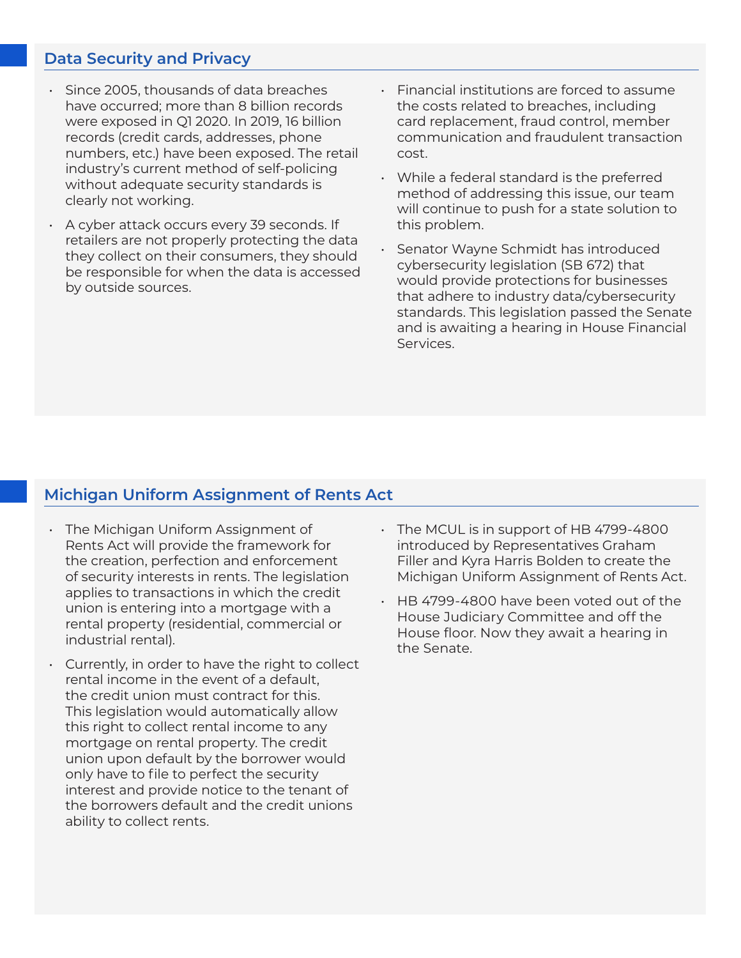#### **Data Security and Privacy**

- Since 2005, thousands of data breaches have occurred; more than 8 billion records were exposed in Q1 2020. In 2019, 16 billion records (credit cards, addresses, phone numbers, etc.) have been exposed. The retail industry's current method of self-policing without adequate security standards is clearly not working.
- A cyber attack occurs every 39 seconds. If retailers are not properly protecting the data they collect on their consumers, they should be responsible for when the data is accessed by outside sources.
- Financial institutions are forced to assume the costs related to breaches, including card replacement, fraud control, member communication and fraudulent transaction cost.
- While a federal standard is the preferred method of addressing this issue, our team will continue to push for a state solution to this problem.
- Senator Wayne Schmidt has introduced cybersecurity legislation (SB 672) that would provide protections for businesses that adhere to industry data/cybersecurity standards. This legislation passed the Senate and is awaiting a hearing in House Financial Services.

## **Michigan Uniform Assignment of Rents Act**

- The Michigan Uniform Assignment of Rents Act will provide the framework for the creation, perfection and enforcement of security interests in rents. The legislation applies to transactions in which the credit union is entering into a mortgage with a rental property (residential, commercial or industrial rental).
- Currently, in order to have the right to collect rental income in the event of a default, the credit union must contract for this. This legislation would automatically allow this right to collect rental income to any mortgage on rental property. The credit union upon default by the borrower would only have to file to perfect the security interest and provide notice to the tenant of the borrowers default and the credit unions ability to collect rents.
- The MCUL is in support of HB 4799-4800 introduced by Representatives Graham Filler and Kyra Harris Bolden to create the Michigan Uniform Assignment of Rents Act.
- HB 4799-4800 have been voted out of the House Judiciary Committee and off the House floor. Now they await a hearing in the Senate.